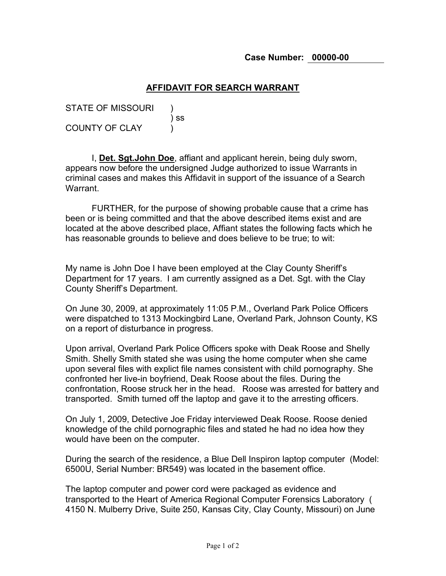## **AFFIDAVIT FOR SEARCH WARRANT**

STATE OF MISSOURI ) ss COUNTY OF CLAY (1)

I, **Det. Sgt.John Doe**, affiant and applicant herein, being duly sworn, appears now before the undersigned Judge authorized to issue Warrants in criminal cases and makes this Affidavit in support of the issuance of a Search Warrant.

FURTHER, for the purpose of showing probable cause that a crime has been or is being committed and that the above described items exist and are located at the above described place, Affiant states the following facts which he has reasonable grounds to believe and does believe to be true; to wit:

My name is John Doe I have been employed at the Clay County Sheriff's Department for 17 years. I am currently assigned as a Det. Sgt. with the Clay County Sheriff's Department.

On June 30, 2009, at approximately 11:05 P.M., Overland Park Police Officers were dispatched to 1313 Mockingbird Lane, Overland Park, Johnson County, KS on a report of disturbance in progress.

Upon arrival, Overland Park Police Officers spoke with Deak Roose and Shelly Smith. Shelly Smith stated she was using the home computer when she came upon several files with explict file names consistent with child pornography. She confronted her live-in boyfriend, Deak Roose about the files. During the confrontation, Roose struck her in the head. Roose was arrested for battery and transported. Smith turned off the laptop and gave it to the arresting officers.

On July 1, 2009, Detective Joe Friday interviewed Deak Roose. Roose denied knowledge of the child pornographic files and stated he had no idea how they would have been on the computer.

During the search of the residence, a Blue Dell Inspiron laptop computer (Model: 6500U, Serial Number: BR549) was located in the basement office.

The laptop computer and power cord were packaged as evidence and transported to the Heart of America Regional Computer Forensics Laboratory ( 4150 N. Mulberry Drive, Suite 250, Kansas City, Clay County, Missouri) on June